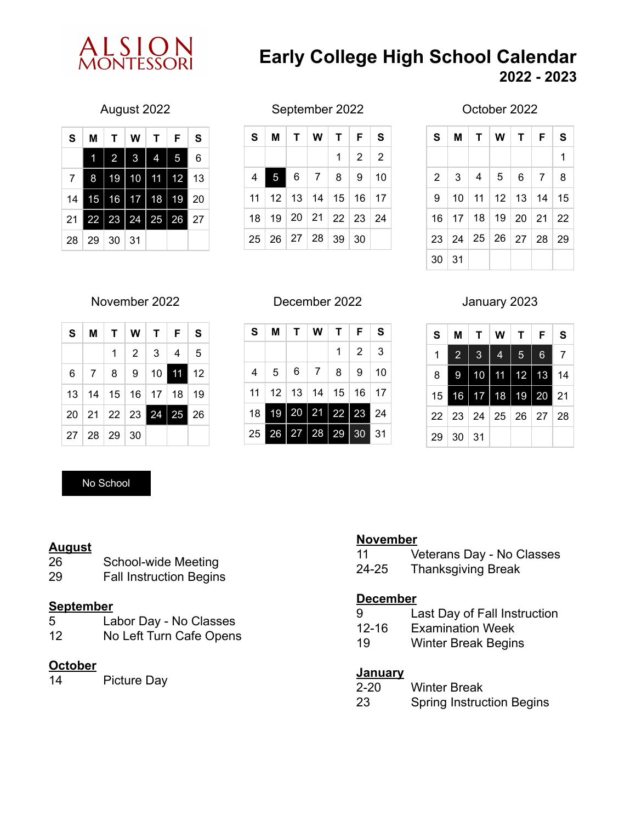

# **Early College High School Calendar 2022 - 2023**

| S  | М  | т              | w       | т  | F  | S  |
|----|----|----------------|---------|----|----|----|
|    |    | $\overline{2}$ | 3       | Ą  | 5  | 6  |
| 7  | 8  | 19             | 10      | 11 | 12 | 13 |
| 14 | 15 | 16             | 17      | 18 | 19 | 20 |
| 21 | 22 | 23             | 24<br>ı | 25 | 26 | 27 |
| 28 | 29 | 30             | 31      |    |    |    |

### August 2022 September 2022

| S. | м                                            | T   W   T   F   S        |                   |  |
|----|----------------------------------------------|--------------------------|-------------------|--|
|    |                                              |                          | $1 \mid 2 \mid 2$ |  |
| 4  |                                              | $5 \t6 \t7 \t8 \t9 \t10$ |                   |  |
|    | $11$   12   13   14   15   16   17           |                          |                   |  |
|    | 18   19   20   21   22   23   24             |                          |                   |  |
|    | $25 \mid 26 \mid 27 \mid 28 \mid 39 \mid 30$ |                          |                   |  |

### October 2022

| S       | $M$   T   W   T   F                           |  | S |
|---------|-----------------------------------------------|--|---|
|         |                                               |  | 1 |
|         | $2 \mid 3 \mid 4 \mid 5 \mid 6 \mid 7 \mid 8$ |  |   |
|         | 9   10   11   12   13   14   15               |  |   |
|         | 16 17 18 19 20 21 22                          |  |   |
|         | 23 24 25 26 27 28 29                          |  |   |
| 30   31 |                                               |  |   |

| S |                   | M   T   W   T   F   S            |  |
|---|-------------------|----------------------------------|--|
|   |                   | $1 \mid 2 \mid 3 \mid 4 \mid 5$  |  |
|   |                   | $6$   7   8   9   10   11   12   |  |
|   |                   | 13   14   15   16   17   18   19 |  |
|   |                   | 20 21 22 23 24 25 26             |  |
|   | 27   28   29   30 |                                  |  |

# No School

## **August**

- 26 School-wide Meeting
- 29 Fall Instruction Begins

#### **September**

- 5 Labor Day No Classes<br>12 No Left Turn Cafe Opens
- No Left Turn Cafe Opens

# **October**

14 Picture Day

## November 2022 December 2022

| S  | М  | T.                | W                     | <b>T</b> F                    |           | S  |
|----|----|-------------------|-----------------------|-------------------------------|-----------|----|
|    |    |                   |                       | $\mathbf 1$                   | $\vert$ 2 | 3  |
| 4  |    | $5 \mid 6 \mid 7$ |                       | 8 <sup>1</sup>                | 9         | 10 |
| 11 |    |                   |                       | $12$   13   14   15   16   17 |           |    |
| 18 | 19 | 20                | $\vert$ 21 $\vert$ 22 |                               | 23        | 24 |
| 25 | 26 | 27                | 28                    | 29                            | 30        | 31 |

# January 2023

| S  | М                    | $\mathbf{T}$ | W                 |    | T   F       | S  |
|----|----------------------|--------------|-------------------|----|-------------|----|
| 1  | $\overline{2}$       | $\mathbf{3}$ | 4                 | 5  | $6^{\circ}$ | 7  |
| 8  | 9                    | 10           | 11                | 12 | 13          | 14 |
| 15 | 16                   | 17           | 18                | 19 | 20          | 21 |
|    | $22 \mid 23 \mid 24$ |              | 25   26   27   28 |    |             |    |
| 29 | 30   31              |              |                   |    |             |    |

### **November**

- 11 Veterans Day No Classes
- 24-25 Thanksgiving Break

#### **December**

- 9 Last Day of Fall Instruction
- 12-16 Examination Week
- 19 Winter Break Begins

#### **January**

- 2-20 Winter Break
- 23 Spring Instruction Begins